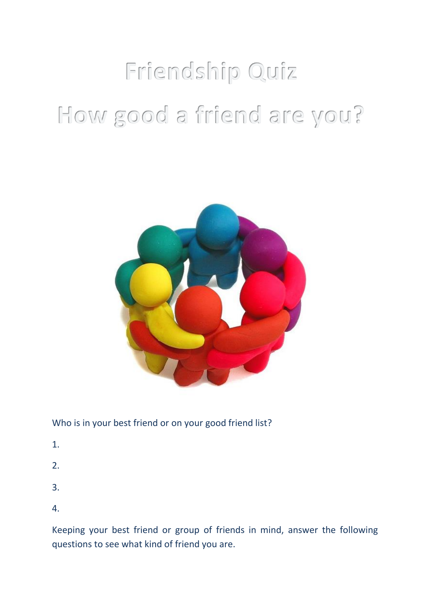# Friendship Quiz How good a friend are you?



## Who is in your best friend or on your good friend list?

- 1.
- 2.
- 3.
- 4.

Keeping your best friend or group of friends in mind, answer the following questions to see what kind of friend you are.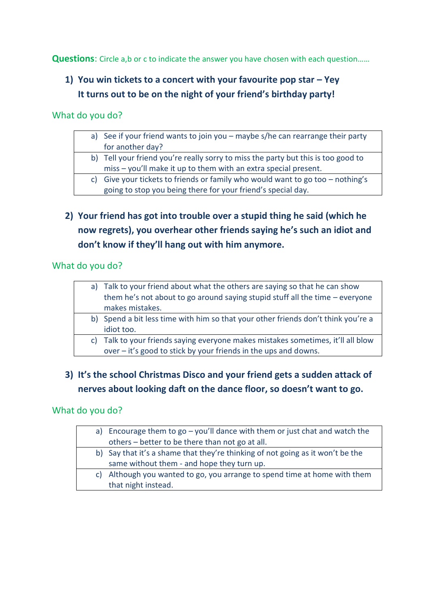**Questions:** Circle a,b or c to indicate the answer you have chosen with each question......

# **1) You win tickets to a concert with your favourite pop star – Yey It turns out to be on the night of your friend's birthday party!**

What do you do?

| a) See if your friend wants to join you - maybe s/he can rearrange their party    |
|-----------------------------------------------------------------------------------|
| for another day?                                                                  |
| b) Tell your friend you're really sorry to miss the party but this is too good to |
| miss - you'll make it up to them with an extra special present.                   |
| c) Give your tickets to friends or family who would want to go too $-$ nothing's  |
| going to stop you being there for your friend's special day.                      |
|                                                                                   |

**2) Your friend has got into trouble over a stupid thing he said (which he now regrets), you overhear other friends saying he's such an idiot and don't know if they'll hang out with him anymore.**

What do you do?

| a) Talk to your friend about what the others are saying so that he can show<br>them he's not about to go around saying stupid stuff all the time – everyone |  |
|-------------------------------------------------------------------------------------------------------------------------------------------------------------|--|
| makes mistakes.                                                                                                                                             |  |
| b) Spend a bit less time with him so that your other friends don't think you're a                                                                           |  |
| idiot too.                                                                                                                                                  |  |
| c) Talk to your friends saying everyone makes mistakes sometimes, it'll all blow                                                                            |  |
| over $-$ it's good to stick by your friends in the ups and downs.                                                                                           |  |

# **3) It's the school Christmas Disco and your friend gets a sudden attack of nerves about looking daft on the dance floor, so doesn't want to go.**

#### What do you do?

|    | a) Encourage them to $go - you'll$ dance with them or just chat and watch the  |  |  |
|----|--------------------------------------------------------------------------------|--|--|
|    | others – better to be there than not go at all.                                |  |  |
|    | b) Say that it's a shame that they're thinking of not going as it won't be the |  |  |
|    | same without them - and hope they turn up.                                     |  |  |
| C) | Although you wanted to go, you arrange to spend time at home with them         |  |  |
|    | that night instead.                                                            |  |  |
|    |                                                                                |  |  |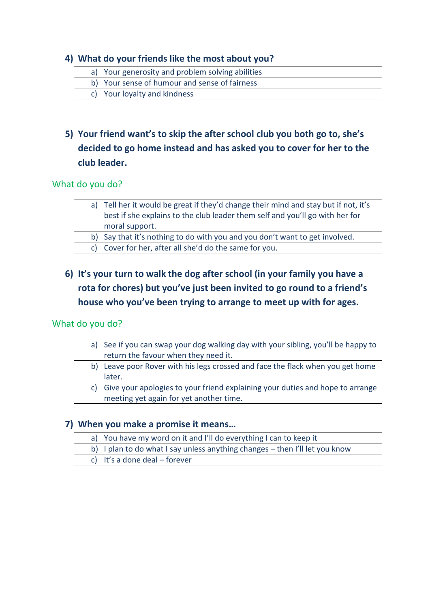#### **4) What do your friends like the most about you?**

- a) Your generosity and problem solving abilities
- b) Your sense of humour and sense of fairness
- c) Your loyalty and kindness

# **5) Your friend want's to skip the after school club you both go to, she's decided to go home instead and has asked you to cover for her to the club leader.**

#### What do you do?

| a) Tell her it would be great if they'd change their mind and stay but if not, it's |
|-------------------------------------------------------------------------------------|
| best if she explains to the club leader them self and you'll go with her for        |
| moral support.                                                                      |

b) Say that it's nothing to do with you and you don't want to get involved.

c) Cover for her, after all she'd do the same for you.

**6) It's your turn to walk the dog after school (in your family you have a rota for chores) but you've just been invited to go round to a friend's house who you've been trying to arrange to meet up with for ages.**

#### What do you do?

|    | a) See if you can swap your dog walking day with your sibling, you'll be happy to |  |
|----|-----------------------------------------------------------------------------------|--|
|    | return the favour when they need it.                                              |  |
|    | b) Leave poor Rover with his legs crossed and face the flack when you get home    |  |
|    | later.                                                                            |  |
| C) | Give your apologies to your friend explaining your duties and hope to arrange     |  |
|    | meeting yet again for yet another time.                                           |  |

#### **7) When you make a promise it means…**

a) You have my word on it and I'll do everything I can to keep it b) I plan to do what I say unless anything changes – then I'll let you know c) It's a done deal – forever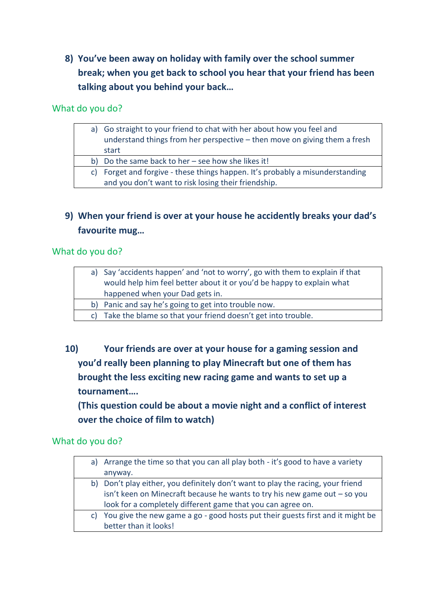**8) You've been away on holiday with family over the school summer break; when you get back to school you hear that your friend has been talking about you behind your back…**

What do you do?

|    | a) Go straight to your friend to chat with her about how you feel and<br>understand things from her perspective - then move on giving them a fresh<br>start |  |
|----|-------------------------------------------------------------------------------------------------------------------------------------------------------------|--|
|    | b) Do the same back to her $-$ see how she likes it!                                                                                                        |  |
| C) | Forget and forgive - these things happen. It's probably a misunderstanding<br>and you don't want to risk losing their friendship.                           |  |

## **9) When your friend is over at your house he accidently breaks your dad's favourite mug…**

What do you do?

| a) Say 'accidents happen' and 'not to worry', go with them to explain if that |  |
|-------------------------------------------------------------------------------|--|
| would help him feel better about it or you'd be happy to explain what         |  |
| happened when your Dad gets in.                                               |  |
| b) Panic and say he's going to get into trouble now.                          |  |
| c) Take the blame so that your friend doesn't get into trouble.               |  |

**10) Your friends are over at your house for a gaming session and you'd really been planning to play Minecraft but one of them has brought the less exciting new racing game and wants to set up a tournament….**

**(This question could be about a movie night and a conflict of interest over the choice of film to watch)**

What do you do?

|    | a) Arrange the time so that you can all play both - it's good to have a variety |
|----|---------------------------------------------------------------------------------|
|    | anyway.                                                                         |
|    | b) Don't play either, you definitely don't want to play the racing, your friend |
|    | isn't keen on Minecraft because he wants to try his new game out $-$ so you     |
|    | look for a completely different game that you can agree on.                     |
| C) | You give the new game a go - good hosts put their guests first and it might be  |
|    | better than it looks!                                                           |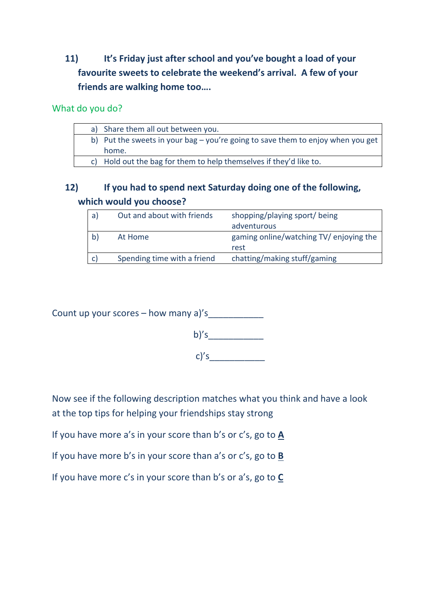# **11) It's Friday just after school and you've bought a load of your favourite sweets to celebrate the weekend's arrival. A few of your friends are walking home too….**

#### What do you do?

| a) Share them all out between you.                                                |  |
|-----------------------------------------------------------------------------------|--|
| b) Put the sweets in your bag $-$ you're going to save them to enjoy when you get |  |
| home.                                                                             |  |
| c) Hold out the bag for them to help themselves if they'd like to.                |  |
|                                                                                   |  |

## **12) If you had to spend next Saturday doing one of the following, which would you choose?**

| a | Out and about with friends  | shopping/playing sport/ being<br>adventurous    |
|---|-----------------------------|-------------------------------------------------|
|   | At Home                     | gaming online/watching TV/ enjoying the<br>rest |
|   | Spending time with a friend | chatting/making stuff/gaming                    |

Count up your scores – how many  $a$ 's



c)'s\_\_\_\_\_\_\_\_\_\_\_

Now see if the following description matches what you think and have a look at the top tips for helping your friendships stay strong

If you have more a's in your score than b's or c's, go to **A**

If you have more b's in your score than a's or c's, go to **B**

If you have more c's in your score than b's or a's, go to **C**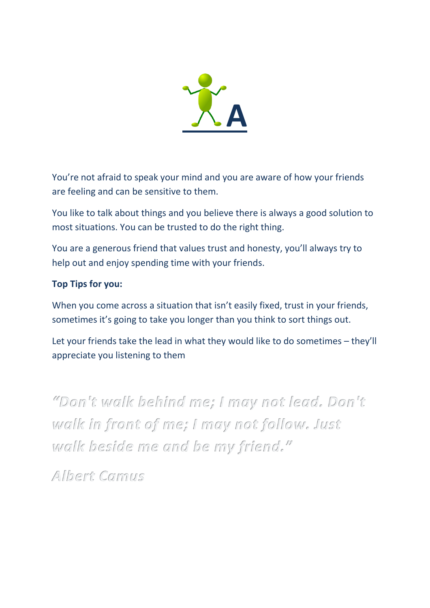

You're not afraid to speak your mind and you are aware of how your friends are feeling and can be sensitive to them.

You like to talk about things and you believe there is always a good solution to most situations. You can be trusted to do the right thing.

You are a generous friend that values trust and honesty, you'll always try to help out and enjoy spending time with your friends.

## **Top Tips for you:**

When you come across a situation that isn't easily fixed, trust in your friends, sometimes it's going to take you longer than you think to sort things out.

Let your friends take the lead in what they would like to do sometimes – they'll appreciate you listening to them

"Don't walk behind me; I may not lead. Don't walk in front of me; I may not follow. Just walk beside me and be my friend."

Albert Camus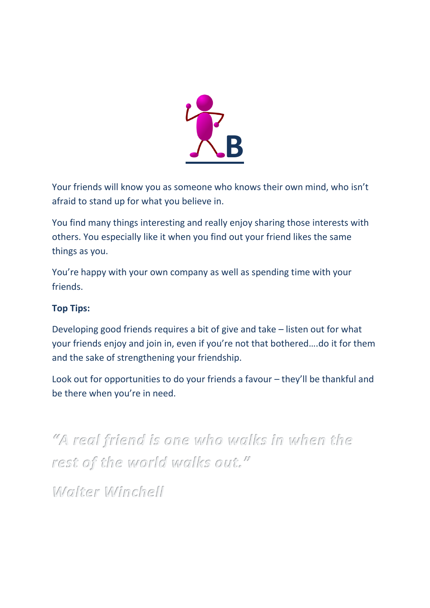

Your friends will know you as someone who knows their own mind, who isn't afraid to stand up for what you believe in.

You find many things interesting and really enjoy sharing those interests with others. You especially like it when you find out your friend likes the same things as you.

You're happy with your own company as well as spending time with your friends.

## **Top Tips:**

Developing good friends requires a bit of give and take – listen out for what your friends enjoy and join in, even if you're not that bothered….do it for them and the sake of strengthening your friendship.

Look out for opportunities to do your friends a favour – they'll be thankful and be there when you're in need.

"A real friend is one who walks in when the rest of the world walks out."

Walter Winchell